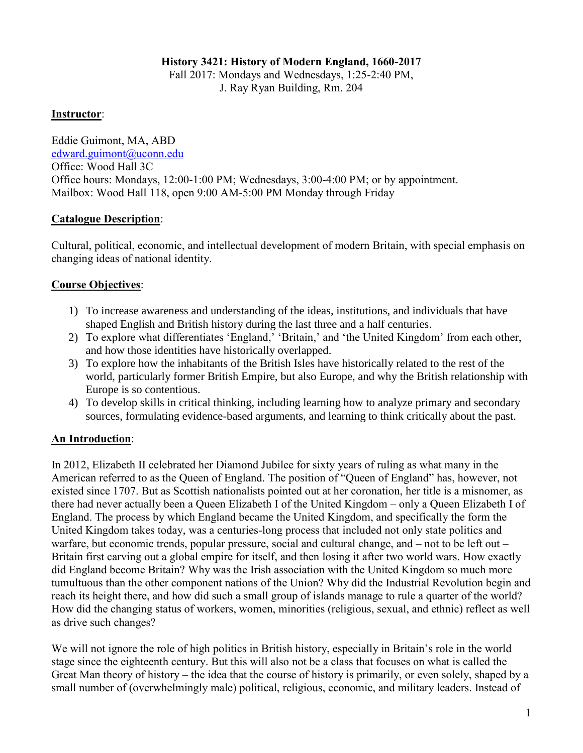#### **History 3421: History of Modern England, 1660-2017**

Fall 2017: Mondays and Wednesdays, 1:25-2:40 PM, J. Ray Ryan Building, Rm. 204

#### **Instructor**:

Eddie Guimont, MA, ABD [edward.guimont@uconn.edu](mailto:edward.guimont@uconn.edu) Office: Wood Hall 3C Office hours: Mondays, 12:00-1:00 PM; Wednesdays, 3:00-4:00 PM; or by appointment. Mailbox: Wood Hall 118, open 9:00 AM-5:00 PM Monday through Friday

### **Catalogue Description**:

Cultural, political, economic, and intellectual development of modern Britain, with special emphasis on changing ideas of national identity.

# **Course Objectives**:

- 1) To increase awareness and understanding of the ideas, institutions, and individuals that have shaped English and British history during the last three and a half centuries.
- 2) To explore what differentiates 'England,' 'Britain,' and 'the United Kingdom' from each other, and how those identities have historically overlapped.
- 3) To explore how the inhabitants of the British Isles have historically related to the rest of the world, particularly former British Empire, but also Europe, and why the British relationship with Europe is so contentious.
- 4) To develop skills in critical thinking, including learning how to analyze primary and secondary sources, formulating evidence-based arguments, and learning to think critically about the past.

# **An Introduction**:

In 2012, Elizabeth II celebrated her Diamond Jubilee for sixty years of ruling as what many in the American referred to as the Queen of England. The position of "Queen of England" has, however, not existed since 1707. But as Scottish nationalists pointed out at her coronation, her title is a misnomer, as there had never actually been a Queen Elizabeth I of the United Kingdom – only a Queen Elizabeth I of England. The process by which England became the United Kingdom, and specifically the form the United Kingdom takes today, was a centuries-long process that included not only state politics and warfare, but economic trends, popular pressure, social and cultural change, and – not to be left out – Britain first carving out a global empire for itself, and then losing it after two world wars. How exactly did England become Britain? Why was the Irish association with the United Kingdom so much more tumultuous than the other component nations of the Union? Why did the Industrial Revolution begin and reach its height there, and how did such a small group of islands manage to rule a quarter of the world? How did the changing status of workers, women, minorities (religious, sexual, and ethnic) reflect as well as drive such changes?

We will not ignore the role of high politics in British history, especially in Britain's role in the world stage since the eighteenth century. But this will also not be a class that focuses on what is called the Great Man theory of history – the idea that the course of history is primarily, or even solely, shaped by a small number of (overwhelmingly male) political, religious, economic, and military leaders. Instead of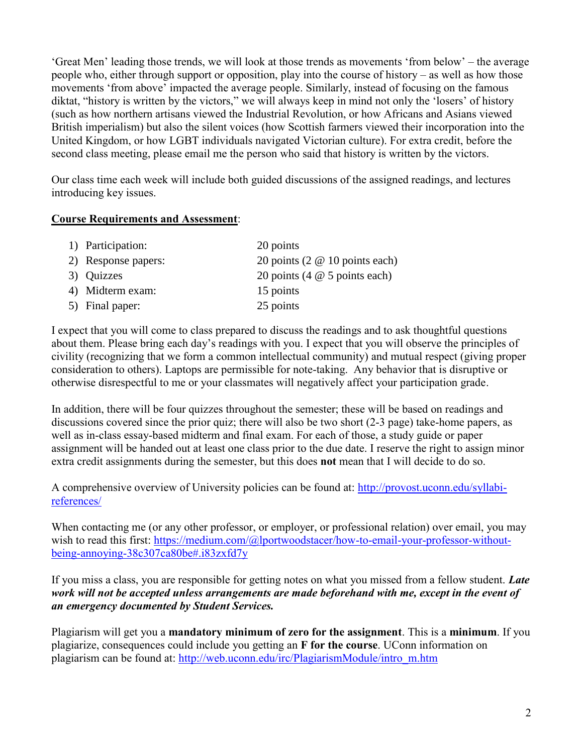'Great Men' leading those trends, we will look at those trends as movements 'from below' – the average people who, either through support or opposition, play into the course of history – as well as how those movements 'from above' impacted the average people. Similarly, instead of focusing on the famous diktat, "history is written by the victors," we will always keep in mind not only the 'losers' of history (such as how northern artisans viewed the Industrial Revolution, or how Africans and Asians viewed British imperialism) but also the silent voices (how Scottish farmers viewed their incorporation into the United Kingdom, or how LGBT individuals navigated Victorian culture). For extra credit, before the second class meeting, please email me the person who said that history is written by the victors.

Our class time each week will include both guided discussions of the assigned readings, and lectures introducing key issues.

#### **Course Requirements and Assessment**:

| 1) Participation:   | 20 points                            |
|---------------------|--------------------------------------|
| 2) Response papers: | 20 points (2 $@$ 10 points each)     |
| 3) Quizzes          | 20 points (4 $\omega$ 5 points each) |
| 4) Midterm exam:    | 15 points                            |
| 5) Final paper:     | 25 points                            |

I expect that you will come to class prepared to discuss the readings and to ask thoughtful questions about them. Please bring each day's readings with you. I expect that you will observe the principles of civility (recognizing that we form a common intellectual community) and mutual respect (giving proper consideration to others). Laptops are permissible for note-taking. Any behavior that is disruptive or otherwise disrespectful to me or your classmates will negatively affect your participation grade.

In addition, there will be four quizzes throughout the semester; these will be based on readings and discussions covered since the prior quiz; there will also be two short (2-3 page) take-home papers, as well as in-class essay-based midterm and final exam. For each of those, a study guide or paper assignment will be handed out at least one class prior to the due date. I reserve the right to assign minor extra credit assignments during the semester, but this does **not** mean that I will decide to do so.

A comprehensive overview of University policies can be found at: [http://provost.uconn.edu/syllabi](http://provost.uconn.edu/syllabi-references/)[references/](http://provost.uconn.edu/syllabi-references/)

When contacting me (or any other professor, or employer, or professional relation) over email, you may wish to read this first: [https://medium.com/@lportwoodstacer/how-to-email-your-professor-without](https://medium.com/@lportwoodstacer/how-to-email-your-professor-without-being-annoying-38c307ca80be#.i83zxfd7y)[being-annoying-38c307ca80be#.i83zxfd7y](https://medium.com/@lportwoodstacer/how-to-email-your-professor-without-being-annoying-38c307ca80be#.i83zxfd7y)

If you miss a class, you are responsible for getting notes on what you missed from a fellow student. *Late work will not be accepted unless arrangements are made beforehand with me, except in the event of an emergency documented by Student Services.* 

Plagiarism will get you a **mandatory minimum of zero for the assignment**. This is a **minimum**. If you plagiarize, consequences could include you getting an **F for the course**. UConn information on plagiarism can be found at: [http://web.uconn.edu/irc/PlagiarismModule/intro\\_m.htm](http://web.uconn.edu/irc/PlagiarismModule/intro_m.htm)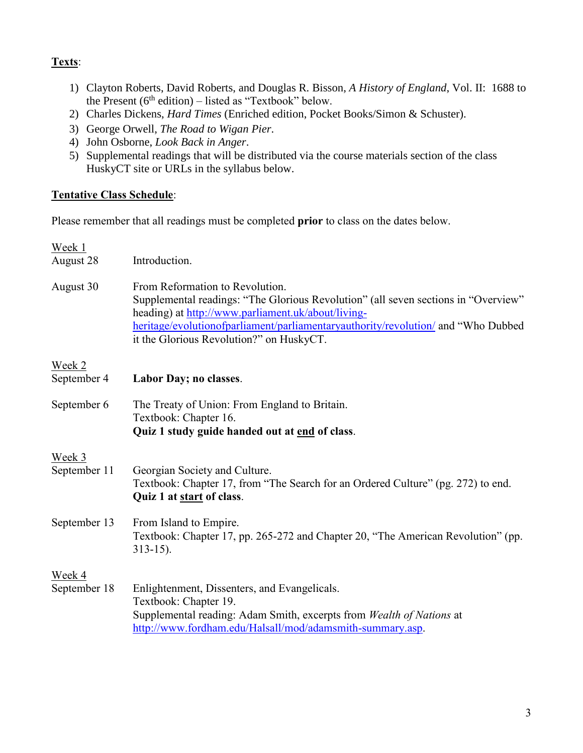# **Texts**:

- 1) Clayton Roberts, David Roberts, and Douglas R. Bisson, *A History of England*, Vol. II: 1688 to the Present  $(6<sup>th</sup> edition) - listed as "Textbook" below.$
- 2) Charles Dickens, *Hard Times* (Enriched edition, Pocket Books/Simon & Schuster).
- 3) George Orwell, *The Road to Wigan Pier*.
- 4) John Osborne, *Look Back in Anger*.
- 5) Supplemental readings that will be distributed via the course materials section of the class HuskyCT site or URLs in the syllabus below.

#### **Tentative Class Schedule**:

Please remember that all readings must be completed **prior** to class on the dates below.

| Week 1<br>August 28    | Introduction.                                                                                                                                                                                                                                                                                                |
|------------------------|--------------------------------------------------------------------------------------------------------------------------------------------------------------------------------------------------------------------------------------------------------------------------------------------------------------|
| August 30              | From Reformation to Revolution.<br>Supplemental readings: "The Glorious Revolution" (all seven sections in "Overview"<br>heading) at http://www.parliament.uk/about/living-<br>heritage/evolutionofparliament/parliamentaryauthority/revolution/ and "Who Dubbed<br>it the Glorious Revolution?" on HuskyCT. |
| Week 2<br>September 4  | Labor Day; no classes.                                                                                                                                                                                                                                                                                       |
| September 6            | The Treaty of Union: From England to Britain.<br>Textbook: Chapter 16.<br>Quiz 1 study guide handed out at end of class.                                                                                                                                                                                     |
| Week 3<br>September 11 | Georgian Society and Culture.<br>Textbook: Chapter 17, from "The Search for an Ordered Culture" (pg. 272) to end.<br>Quiz 1 at start of class.                                                                                                                                                               |
| September 13           | From Island to Empire.<br>Textbook: Chapter 17, pp. 265-272 and Chapter 20, "The American Revolution" (pp.<br>$313 - 15$ ).                                                                                                                                                                                  |
| Week 4<br>September 18 | Enlightenment, Dissenters, and Evangelicals.<br>Textbook: Chapter 19.<br>Supplemental reading: Adam Smith, excerpts from Wealth of Nations at<br>http://www.fordham.edu/Halsall/mod/adamsmith-summary.asp.                                                                                                   |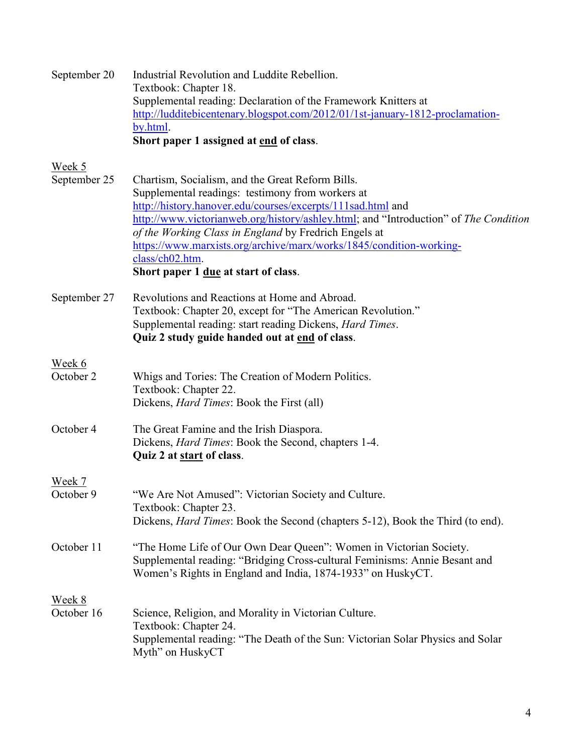| September 20         | Industrial Revolution and Luddite Rebellion.<br>Textbook: Chapter 18.<br>Supplemental reading: Declaration of the Framework Knitters at<br>http://ludditebicentenary.blogspot.com/2012/01/1st-january-1812-proclamation-<br>by.html.<br>Short paper 1 assigned at end of class.                                                                                                                                                                               |
|----------------------|---------------------------------------------------------------------------------------------------------------------------------------------------------------------------------------------------------------------------------------------------------------------------------------------------------------------------------------------------------------------------------------------------------------------------------------------------------------|
| Week 5               |                                                                                                                                                                                                                                                                                                                                                                                                                                                               |
| September 25         | Chartism, Socialism, and the Great Reform Bills.<br>Supplemental readings: testimony from workers at<br>http://history.hanover.edu/courses/excerpts/111sad.html and<br>http://www.victorianweb.org/history/ashley.html; and "Introduction" of The Condition<br>of the Working Class in England by Fredrich Engels at<br>https://www.marxists.org/archive/marx/works/1845/condition-working-<br>class/ch02.htm.<br>Short paper 1 <u>due</u> at start of class. |
| September 27         | Revolutions and Reactions at Home and Abroad.<br>Textbook: Chapter 20, except for "The American Revolution."<br>Supplemental reading: start reading Dickens, <i>Hard Times</i> .<br>Quiz 2 study guide handed out at end of class.                                                                                                                                                                                                                            |
| Week 6               |                                                                                                                                                                                                                                                                                                                                                                                                                                                               |
| October 2            | Whigs and Tories: The Creation of Modern Politics.<br>Textbook: Chapter 22.<br>Dickens, <i>Hard Times</i> : Book the First (all)                                                                                                                                                                                                                                                                                                                              |
| October 4            | The Great Famine and the Irish Diaspora.<br>Dickens, <i>Hard Times</i> : Book the Second, chapters 1-4.<br>Quiz 2 at start of class.                                                                                                                                                                                                                                                                                                                          |
| <u>Week 7</u>        |                                                                                                                                                                                                                                                                                                                                                                                                                                                               |
| October 9            | "We Are Not Amused": Victorian Society and Culture.<br>Textbook: Chapter 23.<br>Dickens, <i>Hard Times</i> : Book the Second (chapters 5-12), Book the Third (to end).                                                                                                                                                                                                                                                                                        |
| October 11           | "The Home Life of Our Own Dear Queen": Women in Victorian Society.<br>Supplemental reading: "Bridging Cross-cultural Feminisms: Annie Besant and<br>Women's Rights in England and India, 1874-1933" on HuskyCT.                                                                                                                                                                                                                                               |
| Week 8<br>October 16 | Science, Religion, and Morality in Victorian Culture.<br>Textbook: Chapter 24.<br>Supplemental reading: "The Death of the Sun: Victorian Solar Physics and Solar<br>Myth" on HuskyCT                                                                                                                                                                                                                                                                          |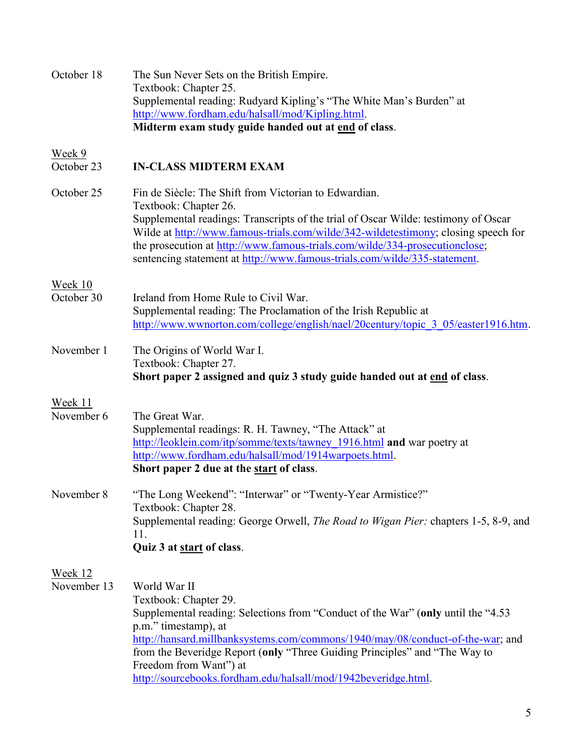| October 18                    | The Sun Never Sets on the British Empire.<br>Textbook: Chapter 25.<br>Supplemental reading: Rudyard Kipling's "The White Man's Burden" at<br>http://www.fordham.edu/halsall/mod/Kipling.html.<br>Midterm exam study guide handed out at end of class.                                                                                                                                                                  |
|-------------------------------|------------------------------------------------------------------------------------------------------------------------------------------------------------------------------------------------------------------------------------------------------------------------------------------------------------------------------------------------------------------------------------------------------------------------|
| Week 9<br>October 23          | <b>IN-CLASS MIDTERM EXAM</b>                                                                                                                                                                                                                                                                                                                                                                                           |
| October 25                    | Fin de Siècle: The Shift from Victorian to Edwardian.<br>Textbook: Chapter 26.<br>Supplemental readings: Transcripts of the trial of Oscar Wilde: testimony of Oscar<br>Wilde at http://www.famous-trials.com/wilde/342-wildetestimony; closing speech for<br>the prosecution at http://www.famous-trials.com/wilde/334-prosecutionclose;<br>sentencing statement at http://www.famous-trials.com/wilde/335-statement. |
| Week 10<br>October 30         | Ireland from Home Rule to Civil War.<br>Supplemental reading: The Proclamation of the Irish Republic at<br>http://www.wwnorton.com/college/english/nael/20century/topic 3 05/easter1916.htm.                                                                                                                                                                                                                           |
| November 1                    | The Origins of World War I.<br>Textbook: Chapter 27.<br>Short paper 2 assigned and quiz 3 study guide handed out at end of class.                                                                                                                                                                                                                                                                                      |
| Week 11                       |                                                                                                                                                                                                                                                                                                                                                                                                                        |
| November 6                    | The Great War.<br>Supplemental readings: R. H. Tawney, "The Attack" at<br>http://leoklein.com/itp/somme/texts/tawney 1916.html and war poetry at<br>http://www.fordham.edu/halsall/mod/1914warpoets.html.<br>Short paper 2 due at the start of class.                                                                                                                                                                  |
| November 8                    | "The Long Weekend": "Interwar" or "Twenty-Year Armistice?"<br>Textbook: Chapter 28.<br>Supplemental reading: George Orwell, <i>The Road to Wigan Pier:</i> chapters 1-5, 8-9, and<br>11.<br>Quiz 3 at start of class.                                                                                                                                                                                                  |
| <b>Week 12</b><br>November 13 | World War II<br>Textbook: Chapter 29.<br>Supplemental reading: Selections from "Conduct of the War" (only until the "4.53<br>p.m." timestamp), at<br>http://hansard.millbanksystems.com/commons/1940/may/08/conduct-of-the-war; and<br>from the Beveridge Report (only "Three Guiding Principles" and "The Way to<br>Freedom from Want") at<br>http://sourcebooks.fordham.edu/halsall/mod/1942beveridge.html.          |